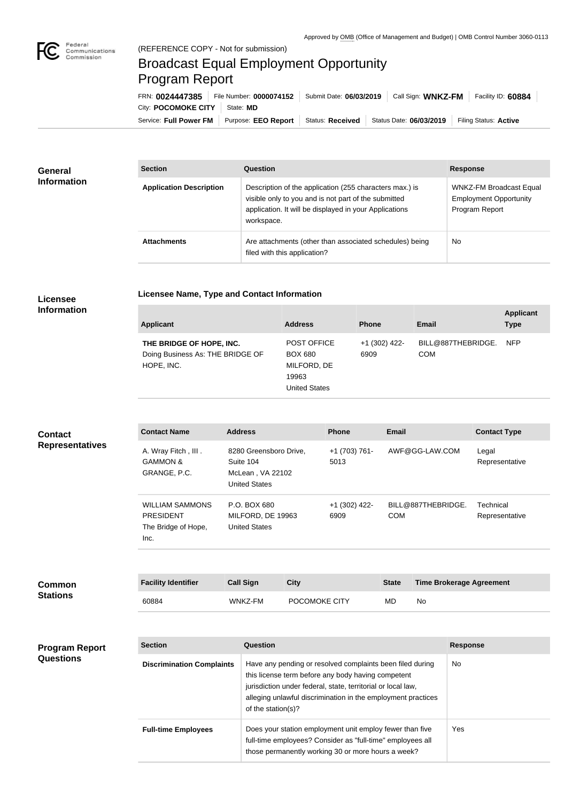

**COL** 

## Broadcast Equal Employment Opportunity Program Report

**Licensee Name, Type and Contact Information**

| FRN: 0024447385                 | File Number: 0000074152   Submit Date: 06/03/2019                                         | Call Sign: WNKZ-FM | Facility ID: 60884    |
|---------------------------------|-------------------------------------------------------------------------------------------|--------------------|-----------------------|
| City: POCOMOKE CITY   State: MD |                                                                                           |                    |                       |
|                                 | Service: Full Power FM   Purpose: EEO Report   Status: Received   Status Date: 06/03/2019 |                    | Filing Status: Active |

| <b>General</b><br><b>Information</b> | <b>Section</b>                 | Question                                                                                                                                                                                | <b>Response</b>                                                                   |  |
|--------------------------------------|--------------------------------|-----------------------------------------------------------------------------------------------------------------------------------------------------------------------------------------|-----------------------------------------------------------------------------------|--|
|                                      | <b>Application Description</b> | Description of the application (255 characters max.) is<br>visible only to you and is not part of the submitted<br>application. It will be displayed in your Applications<br>workspace. | <b>WNKZ-FM Broadcast Equal</b><br><b>Employment Opportunity</b><br>Program Report |  |
|                                      | <b>Attachments</b>             | Are attachments (other than associated schedules) being<br>filed with this application?                                                                                                 | <b>No</b>                                                                         |  |

## **Licensee Information**

| <b>Applicant</b>                                                           | <b>Address</b>                                                                       | <b>Phone</b>            | <b>Email</b>                     | <b>Applicant</b><br><b>Type</b> |
|----------------------------------------------------------------------------|--------------------------------------------------------------------------------------|-------------------------|----------------------------------|---------------------------------|
| THE BRIDGE OF HOPE, INC.<br>Doing Business As: THE BRIDGE OF<br>HOPE, INC. | <b>POST OFFICE</b><br><b>BOX 680</b><br>MILFORD, DE<br>19963<br><b>United States</b> | $+1$ (302) 422-<br>6909 | BILL@887THEBRIDGE.<br><b>COM</b> | <b>NFP</b>                      |

| <b>Contact</b><br><b>Representatives</b> | <b>Contact Name</b>                                                       | <b>Address</b>                                                                  |             | <b>Phone</b>            | <b>Email</b> |                                 | <b>Contact Type</b>         |
|------------------------------------------|---------------------------------------------------------------------------|---------------------------------------------------------------------------------|-------------|-------------------------|--------------|---------------------------------|-----------------------------|
|                                          | A. Wray Fitch, III.<br><b>GAMMON &amp;</b><br>GRANGE, P.C.                | 8280 Greensboro Drive,<br>Suite 104<br>McLean, VA 22102<br><b>United States</b> |             | +1 (703) 761-<br>5013   |              | AWF@GG-LAW.COM                  | Legal<br>Representative     |
|                                          | <b>WILLIAM SAMMONS</b><br><b>PRESIDENT</b><br>The Bridge of Hope,<br>Inc. | P.O. BOX 680<br>MILFORD, DE 19963<br><b>United States</b>                       |             | $+1$ (302) 422-<br>6909 | <b>COM</b>   | BILL@887THEBRIDGE.              | Technical<br>Representative |
|                                          |                                                                           |                                                                                 |             |                         |              |                                 |                             |
| <b>Common</b>                            | <b>Facility Identifier</b>                                                | <b>Call Sign</b>                                                                | <b>City</b> |                         | <b>State</b> | <b>Time Brokerage Agreement</b> |                             |
| <b>Stations</b>                          | 0.0001                                                                    | $1111177$ $F11$                                                                 | DOMMNIET    |                         | <b>AID</b>   | $\mathbf{A}$                    |                             |

60884 WNKZ-FM POCOMOKE CITY MD No

| <b>Program Report</b><br><b>Questions</b> | <b>Section</b>                   | Question                                                                                                                                                                                                                                                              | <b>Response</b> |
|-------------------------------------------|----------------------------------|-----------------------------------------------------------------------------------------------------------------------------------------------------------------------------------------------------------------------------------------------------------------------|-----------------|
|                                           | <b>Discrimination Complaints</b> | Have any pending or resolved complaints been filed during<br>this license term before any body having competent<br>jurisdiction under federal, state, territorial or local law,<br>alleging unlawful discrimination in the employment practices<br>of the station(s)? | No              |
|                                           | <b>Full-time Employees</b>       | Does your station employment unit employ fewer than five<br>full-time employees? Consider as "full-time" employees all<br>those permanently working 30 or more hours a week?                                                                                          | <b>Yes</b>      |